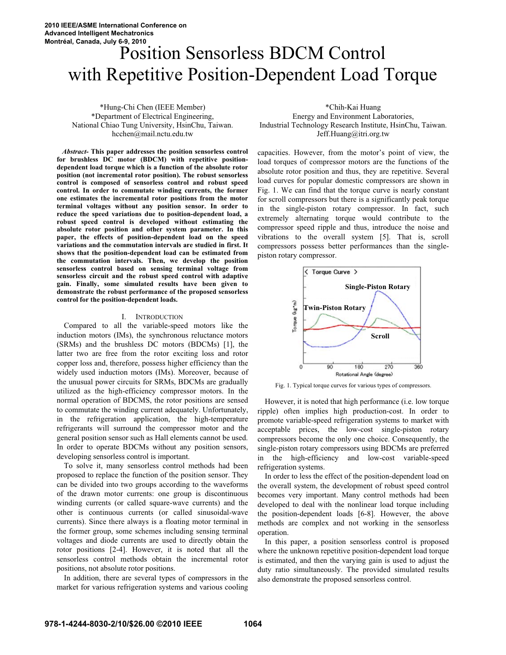# Position Sensorless BDCM Control with Repetitive Position-Dependent Load Torque

\*Hung-Chi Chen (IEEE Member) \*Department of Electrical Engineering, National Chiao Tung University, HsinChu, Taiwan. hcchen@mail.nctu.edu.tw

*Abstract-* **This paper addresses the position sensorless control for brushless DC motor (BDCM) with repetitive positiondependent load torque which is a function of the absolute rotor position (not incremental rotor position). The robust sensorless control is composed of sensorless control and robust speed control. In order to commutate winding currents, the former one estimates the incremental rotor positions from the motor terminal voltages without any position sensor. In order to reduce the speed variations due to position-dependent load, a robust speed control is developed without estimating the absolute rotor position and other system parameter. In this paper, the effects of position-dependent load on the speed variations and the commutation intervals are studied in first. It shows that the position-dependent load can be estimated from the commutation intervals. Then, we develop the position sensorless control based on sensing terminal voltage from sensorless circuit and the robust speed control with adaptive gain. Finally, some simulated results have been given to demonstrate the robust performance of the proposed sensorless control for the position-dependent loads.** 

#### I. INTRODUCTION

Compared to all the variable-speed motors like the induction motors (IMs), the synchronous reluctance motors (SRMs) and the brushless DC motors (BDCMs) [1], the latter two are free from the rotor exciting loss and rotor copper loss and, therefore, possess higher efficiency than the widely used induction motors (IMs). Moreover, because of the unusual power circuits for SRMs, BDCMs are gradually utilized as the high-efficiency compressor motors. In the normal operation of BDCMS, the rotor positions are sensed to commutate the winding current adequately. Unfortunately, in the refrigeration application, the high-temperature refrigerants will surround the compressor motor and the general position sensor such as Hall elements cannot be used. In order to operate BDCMs without any position sensors, developing sensorless control is important.

To solve it, many sensorless control methods had been proposed to replace the function of the position sensor. They can be divided into two groups according to the waveforms of the drawn motor currents: one group is discontinuous winding currents (or called square-wave currents) and the other is continuous currents (or called sinusoidal-wave currents). Since there always is a floating motor terminal in the former group, some schemes including sensing terminal voltages and diode currents are used to directly obtain the rotor positions [2-4]. However, it is noted that all the sensorless control methods obtain the incremental rotor positions, not absolute rotor positions.

In addition, there are several types of compressors in the market for various refrigeration systems and various cooling

\*Chih-Kai Huang Energy and Environment Laboratories, Industrial Technology Research Institute, HsinChu, Taiwan. Jeff.Huang@itri.org.tw

capacities. However, from the motor's point of view, the load torques of compressor motors are the functions of the absolute rotor position and thus, they are repetitive. Several load curves for popular domestic compressors are shown in Fig. 1. We can find that the torque curve is nearly constant for scroll compressors but there is a significantly peak torque in the single-piston rotary compressor. In fact, such extremely alternating torque would contribute to the compressor speed ripple and thus, introduce the noise and vibrations to the overall system [5]. That is, scroll compressors possess better performances than the singlepiston rotary compressor.



Fig. 1. Typical torque curves for various types of compressors.

However, it is noted that high performance (i.e. low torque ripple) often implies high production-cost. In order to promote variable-speed refrigeration systems to market with acceptable prices, the low-cost single-piston rotary compressors become the only one choice. Consequently, the single-piston rotary compressors using BDCMs are preferred in the high-efficiency and low-cost variable-speed refrigeration systems.

In order to less the effect of the position-dependent load on the overall system, the development of robust speed control becomes very important. Many control methods had been developed to deal with the nonlinear load torque including the position-dependent loads [6-8]. However, the above methods are complex and not working in the sensorless operation.

In this paper, a position sensorless control is proposed where the unknown repetitive position-dependent load torque is estimated, and then the varying gain is used to adjust the duty ratio simultaneously. The provided simulated results also demonstrate the proposed sensorless control.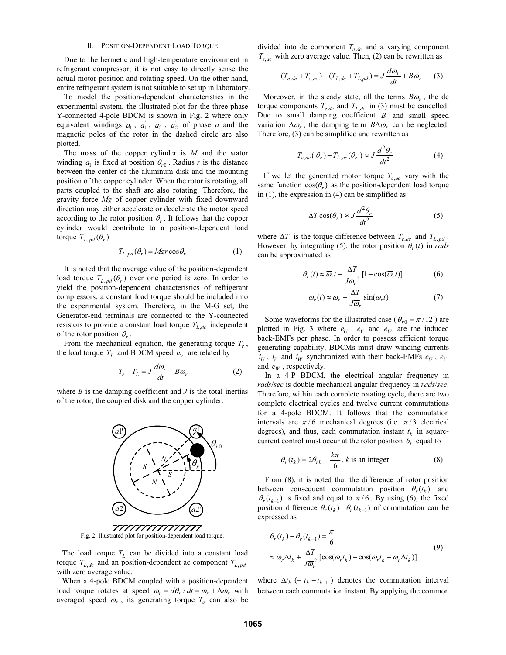# II. POSITION-DEPENDENT LOAD TORQUE

Due to the hermetic and high-temperature environment in refrigerant compressor, it is not easy to directly sense the actual motor position and rotating speed. On the other hand, entire refrigerant system is not suitable to set up in laboratory.

To model the position-dependent characteristics in the experimental system, the illustrated plot for the three-phase Y-connected 4-pole BDCM is shown in Fig. 2 where only equivalent windings  $a_1$ ,  $a_1$ ,  $a_2$ ,  $a_2$  of phase *a* and the magnetic poles of the rotor in the dashed circle are also plotted.

The mass of the copper cylinder is *M* and the stator winding  $a_1$  is fixed at position  $\theta_{r0}$ . Radius *r* is the distance between the center of the aluminum disk and the mounting position of the copper cylinder. When the rotor is rotating, all parts coupled to the shaft are also rotating. Therefore, the gravity force *Mg* of copper cylinder with fixed downward direction may either accelerate or decelerate the motor speed according to the rotor position  $\theta_r$ . It follows that the copper cylinder would contribute to a position-dependent load torque  $T_{L, pd}(\theta_r)$ 

$$
T_{L,pd}(\theta_r) = Mgr \cos \theta_r \tag{1}
$$

It is noted that the average value of the position-dependent load torque  $T_{L, pd}$  ( $\theta_r$ ) over one period is zero. In order to yield the position-dependent characteristics of refrigerant compressors, a constant load torque should be included into the experimental system. Therefore, in the M-G set, the Generator-end terminals are connected to the Y-connected resistors to provide a constant load torque  $T_{L,dc}$  independent of the rotor position  $\theta_r$ .

From the mechanical equation, the generating torque  $T_e$ , the load torque  $T_L$  and BDCM speed  $\omega_r$  are related by

$$
T_e - T_L = J \frac{d\omega_r}{dt} + B\omega_r \tag{2}
$$

where  $B$  is the damping coefficient and  $J$  is the total inertias of the rotor, the coupled disk and the copper cylinder.



Fig. 2. Illustrated plot for position-dependent load torque.

The load torque  $T_L$  can be divided into a constant load torque  $T_{L,dc}$  and an position-dependent ac component  $T_{L,bd}$ with zero average value.

When a 4-pole BDCM coupled with a position-dependent load torque rotates at speed  $\omega_r = d\theta_r / dt = \overline{\omega}_r + \Delta \omega_r$  with averaged speed  $\overline{\omega}_r$ , its generating torque  $T_e$  can also be

divided into dc component *Te*,*dc* and a varying component  $T_{e,ac}$  with zero average value. Then, (2) can be rewritten as

$$
(T_{e,dc} + T_{e,ac}) - (T_{L,dc} + T_{L,pd}) = J \frac{d\omega_r}{dt} + B\omega_r
$$
 (3)

Moreover, in the steady state, all the terms  $B\overline{\omega}_r$ , the dc torque components  $T_{e,dc}$  and  $T_{L,dc}$  in (3) must be cancelled. Due to small damping coefficient *B* and small speed variation  $\Delta \omega_r$ , the damping term  $B\Delta \omega_r$  can be neglected. Therefore, (3) can be simplified and rewritten as

$$
T_{e,ac}(\theta_r) - T_{L,ac}(\theta_r) \approx J \frac{d^2 \theta_r}{dt^2}
$$
 (4)

If we let the generated motor torque  $T_{e,ac}$  vary with the same function  $cos(\theta_r)$  as the position-dependent load torque in (1), the expression in (4) can be simplified as

$$
\Delta T \cos(\theta_r) \approx J \frac{d^2 \theta_r}{dt^2}
$$
 (5)

where  $\Delta T$  is the torque difference between  $T_{e,ac}$  and  $T_{L,bd}$ . However, by integrating (5), the rotor position  $\theta_r(t)$  in *rads* can be approximated as

$$
\theta_r(t) \approx \overline{\omega}_r t - \frac{\Delta T}{J \overline{\omega}_r^2} [1 - \cos(\overline{\omega}_r t)] \tag{6}
$$

$$
\omega_r(t) \approx \overline{\omega}_r - \frac{\Delta T}{J\overline{\omega}_r} \sin(\overline{\omega}_r t) \tag{7}
$$

Some waveforms for the illustrated case ( $\theta_{r0} = \pi/12$ ) are plotted in Fig. 3 where  $e_U$ ,  $e_V$  and  $e_W$  are the induced back-EMFs per phase. In order to possess efficient torque generating capability, BDCMs must draw winding currents  $i_U$ ,  $i_V$  and  $i_W$  synchronized with their back-EMFs  $e_U$ ,  $e_V$ and  $e_W$ , respectively.

In a 4-P BDCM, the electrical angular frequency in *rads*/*sec* is double mechanical angular frequency in *rads*/*sec*. Therefore, within each complete rotating cycle, there are two complete electrical cycles and twelve current commutations for a 4-pole BDCM. It follows that the commutation intervals are  $\pi/6$  mechanical degrees (i.e.  $\pi/3$  electrical degrees), and thus, each commutation instant  $t_k$  in squarecurrent control must occur at the rotor position  $\theta_r$  equal to

$$
\theta_r(t_k) = 2\theta_{r0} + \frac{k\pi}{6}, k \text{ is an integer}
$$
 (8)

From (8), it is noted that the difference of rotor position between consequent commutation position  $\theta_r(t_k)$  and  $\theta_r(t_{k-1})$  is fixed and equal to  $\pi/6$ . By using (6), the fixed position difference  $\theta_r(t_k) - \theta_r(t_{k-1})$  of commutation can be expressed as

$$
\theta_r(t_k) - \theta_r(t_{k-1}) = \frac{\pi}{6}
$$
\n
$$
\approx \overline{\omega}_r \Delta t_k + \frac{\Delta T}{J \overline{\omega}_r^2} [\cos(\overline{\omega}_r t_k) - \cos(\overline{\omega}_r t_k - \overline{\omega}_r \Delta t_k)]
$$
\n(9)

where  $\Delta t_k$  (=  $t_k - t_{k-1}$ ) denotes the commutation interval between each commutation instant. By applying the common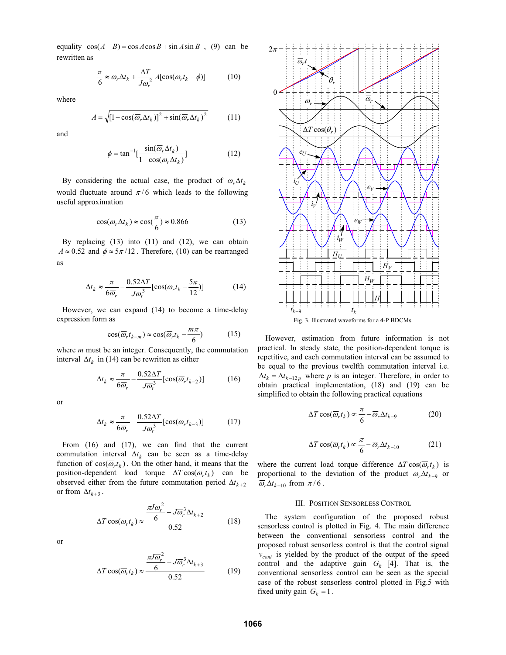equality  $\cos(A - B) = \cos A \cos B + \sin A \sin B$ , (9) can be rewritten as

$$
\frac{\pi}{6} \approx \overline{\omega}_r \Delta t_k + \frac{\Delta T}{J \overline{\omega}_r^2} A[\cos(\overline{\omega}_r t_k - \phi)] \tag{10}
$$

where

$$
A = \sqrt{\left[1 - \cos(\overline{\omega}_r \Delta t_k)\right]^2 + \sin(\overline{\omega}_r \Delta t_k)^2}
$$
 (11)

and

$$
\phi = \tan^{-1}\left[\frac{\sin(\overline{\omega}_r \Delta t_k)}{1 - \cos(\overline{\omega}_r \Delta t_k)}\right]
$$
(12)

By considering the actual case, the product of  $\overline{\omega}_r \Delta t_k$ would fluctuate around  $\pi/6$  which leads to the following useful approximation

$$
\cos(\overline{\omega}_r \Delta t_k) \approx \cos(\frac{\pi}{6}) \approx 0.866 \tag{13}
$$

By replacing (13) into (11) and (12), we can obtain  $A \approx 0.52$  and  $\phi \approx 5\pi/12$ . Therefore, (10) can be rearranged as

$$
\Delta t_k \approx \frac{\pi}{6\overline{\omega}_r} - \frac{0.52\Delta T}{J\overline{\omega}_r^3} [\cos(\overline{\omega}_r t_k - \frac{5\pi}{12})] \tag{14}
$$

However, we can expand (14) to become a time-delay expression form as

$$
\cos(\overline{\omega}_r t_{k-m}) \approx \cos(\overline{\omega}_r t_k - \frac{m\pi}{6})
$$
 (15)

where *m* must be an integer. Consequently, the commutation interval  $\Delta t_k$  in (14) can be rewritten as either

$$
\Delta t_k \approx \frac{\pi}{6\overline{\omega}_r} - \frac{0.52\Delta T}{J\overline{\omega}_r^3} [\cos(\overline{\omega}_r t_{k-2})] \tag{16}
$$

or

$$
\Delta t_k \approx \frac{\pi}{6\overline{\omega}_r} - \frac{0.52\Delta T}{J\overline{\omega}_r^3} [\cos(\overline{\omega}_r t_{k-3})] \tag{17}
$$

From (16) and (17), we can find that the current commutation interval  $\Delta t_k$  can be seen as a time-delay function of  $cos(\overline{\omega}_r t_k)$ . On the other hand, it means that the position-dependent load torque  $\Delta T \cos(\overline{\omega}_r t_k)$  can be observed either from the future commutation period  $\Delta t_{k+2}$ or from  $\Delta t_{k+3}$ .

$$
\Delta T \cos(\overline{\omega}_r t_k) \approx \frac{\pi J \overline{\omega}_r^2 - J \overline{\omega}_r^3 \Delta t_{k+2}}{0.52} \tag{18}
$$

or

$$
\Delta T \cos(\overline{\omega}_r t_k) \approx \frac{\pi J \overline{\omega}_r^2 - J \overline{\omega}_r^3 \Delta t_{k+3}}{0.52} \tag{19}
$$



However, estimation from future information is not practical. In steady state, the position-dependent torque is repetitive, and each commutation interval can be assumed to be equal to the previous twelfth commutation interval i.e.  $\Delta t_k = \Delta t_{k-12p}$  where *p* is an integer. Therefore, in order to obtain practical implementation, (18) and (19) can be simplified to obtain the following practical equations

$$
\Delta T \cos(\overline{\omega}_r t_k) \propto \frac{\pi}{6} - \overline{\omega}_r \Delta t_{k-9}
$$
 (20)

$$
\Delta T \cos(\overline{\omega}_r t_k) \propto \frac{\pi}{6} - \overline{\omega}_r \Delta t_{k-10}
$$
 (21)

where the current load torque difference  $\Delta T \cos(\overline{\omega}_r t_k)$  is proportional to the deviation of the product  $\overline{\omega}_r \Delta t_{k-9}$  or  $\overline{\omega}_r \Delta t_{k-10}$  from  $\pi/6$ .

# III. POSITION SENSORLESS CONTROL

The system configuration of the proposed robust sensorless control is plotted in Fig. 4. The main difference between the conventional sensorless control and the proposed robust sensorless control is that the control signal *cont v* is yielded by the product of the output of the speed control and the adaptive gain  $G_k$  [4]. That is, the conventional sensorless control can be seen as the special case of the robust sensorless control plotted in Fig.5 with fixed unity gain  $G_k = 1$ .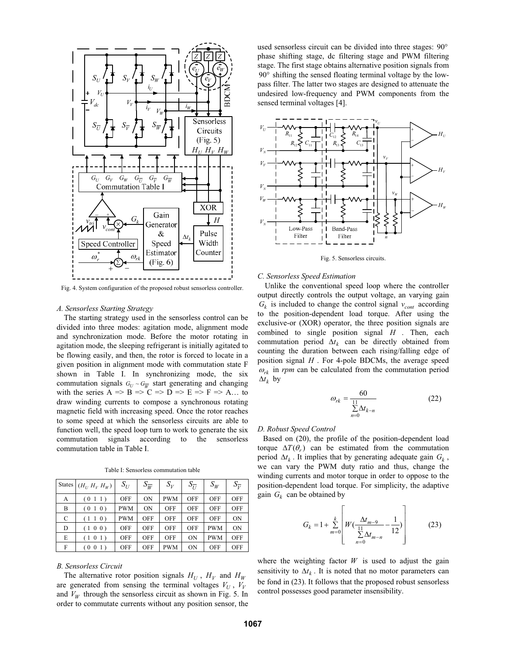

Fig. 4. System configuration of the proposed robust sensorless controller.

## *A. Sensorless Starting Strategy*

The starting strategy used in the sensorless control can be divided into three modes: agitation mode, alignment mode and synchronization mode. Before the motor rotating in agitation mode, the sleeping refrigerant is initially agitated to be flowing easily, and then, the rotor is forced to locate in a given position in alignment mode with commutation state F shown in Table I. In synchronizing mode, the six commutation signals  $G_U \sim G_{\overline{W}}$  start generating and changing with the series  $A \Rightarrow B \Rightarrow C \Rightarrow D \Rightarrow E \Rightarrow F \Rightarrow A...$  to draw winding currents to compose a synchronous rotating magnetic field with increasing speed. Once the rotor reaches to some speed at which the sensorless circuits are able to function well, the speed loop turn to work to generate the six commutation signals according to the sensorless commutation table in Table I.

Table I: Sensorless commutation table

| <b>States</b> | $(H_{U} H_{V} H_{W})$ | $S_U$      | $S_{\overline{W}}$ | $S_V$      | $S_{\overline{U}}$ | $S_W$      | $S_{\overline{\nu}}$ |
|---------------|-----------------------|------------|--------------------|------------|--------------------|------------|----------------------|
| А             | (011)                 | <b>OFF</b> | ON                 | <b>PWM</b> | <b>OFF</b>         | <b>OFF</b> | OFF                  |
| B             | (010)                 | <b>PWM</b> | ON                 | <b>OFF</b> | <b>OFF</b>         | <b>OFF</b> | OFF                  |
| C             | (110)                 | <b>PWM</b> | <b>OFF</b>         | <b>OFF</b> | <b>OFF</b>         | <b>OFF</b> | <b>ON</b>            |
| D             | (100)                 | <b>OFF</b> | <b>OFF</b>         | <b>OFF</b> | <b>OFF</b>         | <b>PWM</b> | ON                   |
| E             | $(1\;0\;1)$           | <b>OFF</b> | <b>OFF</b>         | <b>OFF</b> | ON                 | <b>PWM</b> | OFF                  |
| F             | (0 0 1)               | <b>OFF</b> | OFF                | <b>PWM</b> | ON                 | <b>OFF</b> | OFF                  |

#### *B. Sensorless Circuit*

The alternative rotor position signals  $H_U$ ,  $H_V$  and  $H_W$ are generated from sensing the terminal voltages  $V_U$ ,  $V_V$ and  $V_W$  through the sensorless circuit as shown in Fig. 5. In order to commutate currents without any position sensor, the used sensorless circuit can be divided into three stages: 90<sup>o</sup> phase shifting stage, dc filtering stage and PWM filtering stage. The first stage obtains alternative position signals from  $90^\circ$  shifting the sensed floating terminal voltage by the lowpass filter. The latter two stages are designed to attenuate the undesired low-frequency and PWM components from the sensed terminal voltages [4].



Fig. 5. Sensorless circuits.

#### *C. Sensorless Speed Estimation*

Unlike the conventional speed loop where the controller output directly controls the output voltage, an varying gain  $G_k$  is included to change the control signal  $v_{cont}$  according to the position-dependent load torque. After using the exclusive-or (XOR) operator, the three position signals are combined to single position signal *H* . Then, each commutation period  $\Delta t_k$  can be directly obtained from counting the duration between each rising/falling edge of position signal *H* . For 4-pole BDCMs, the average speed  $\omega_{rk}$  in *rpm* can be calculated from the commutation period  $\Delta t_k$  by

$$
\omega_{rk} = \frac{60}{\sum\limits_{n=0}^{11} \Delta t_{k-n}}\tag{22}
$$

#### *D. Robust Speed Control*

Based on (20), the profile of the position-dependent load torque  $\Delta T(\theta_r)$  can be estimated from the commutation period  $\Delta t_k$ . It implies that by generating adequate gain  $G_k$ , we can vary the PWM duty ratio and thus, change the winding currents and motor torque in order to oppose to the position-dependent load torque. For simplicity, the adaptive gain  $G_k$  can be obtained by

$$
G_k = 1 + \sum_{m=0}^{k} \left[ W(\frac{\Delta t_{m-9}}{\sum\limits_{n=0}^{11} \Delta t_{m-n}} - \frac{1}{12}) \right]
$$
 (23)

where the weighting factor  $W$  is used to adjust the gain sensitivity to  $\Delta t_k$ . It is noted that no motor parameters can be fond in (23). It follows that the proposed robust sensorless control possesses good parameter insensibility.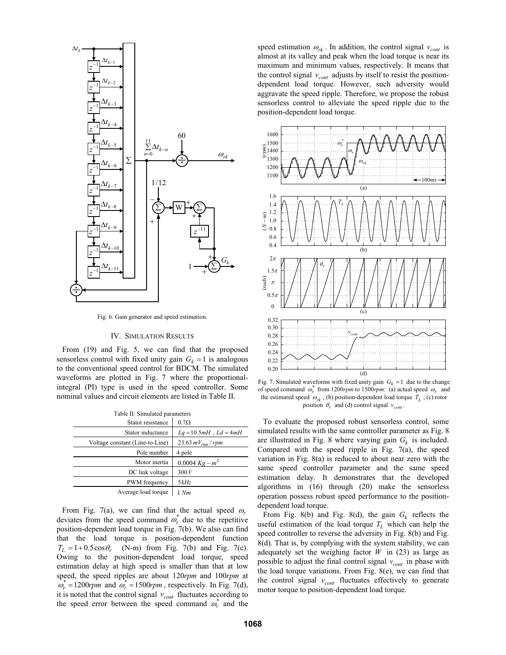

Fig. 6. Gain generator and speed estimation.

## IV. SIMULATION RESULTS

From (19) and Fig. 5, we can find that the proposed sensorless control with fixed unity gain  $G_k = 1$  is analogous to the conventional speed control for BDCM. The simulated waveforms are plotted in Fig. 7 where the proportionalintegral (PI) type is used in the speed controller. Some nominal values and circuit elements are listed in Table II.

| Table II: Simulated parameters  |                            |  |  |  |
|---------------------------------|----------------------------|--|--|--|
| Stator resistance               | $0.7\Omega$                |  |  |  |
| Stator inductance               | $Lq = 10.5mH$ , $Ld = 4mH$ |  |  |  |
| Voltage constant (Line-to-Line) | 23.63 $mV_{rms}/r$ pm      |  |  |  |
| Pole number                     | 4 pole                     |  |  |  |
| Motor inertia                   | 0.0004 $Kg - m^2$          |  |  |  |
| DC link voltage                 | 300V                       |  |  |  |
| <b>PWM</b> frequency            | 5kHz                       |  |  |  |
| Average load torque             | 1 Nm                       |  |  |  |

From Fig. 7(a), we can find that the actual speed  $\omega_r$ deviates from the speed command  $\omega_r^*$  due to the repetitive position-dependent load torque in Fig. 7(b). We also can find that the load torque is position-dependent function  $T_L = 1 + 0.5 \cos \theta_r$  (N-m) from Fig. 7(b) and Fig. 7(c). Owing to the position-dependent load torque, speed estimation delay at high speed is smaller than that at low speed, the speed ripples are about 120*rpm* and 100*rpm* at  $\omega_r^* = 1200$ *rpm* and  $\omega_r^* = 1500$ *rpm*, respectively. In Fig. 7(d), it is noted that the control signal  $v_{cont}$  fluctuates according to the speed error between the speed command  $\omega_r^*$  and the

speed estimation  $\omega_{rk}$ . In addition, the control signal  $v_{cont}$  is almost at its valley and peak when the load torque is near its maximum and minimum values, respectively. It means that the control signal  $v_{cont}$  adjusts by itself to resist the positiondependent load torque. However, such adversity would aggravate the speed ripple. Therefore, we propose the robust sensorless control to alleviate the speed ripple due to the position-dependent load torque.



Fig. 7. Simulated waveforms with fixed unity gain  $G_k = 1$  due to the change of speed command  $\omega_r^*$  from 1200*rpm* to 1500*rpm*: (a) actual speed  $\omega_r$  and the estimated speed  $\omega_{rk}$ ; (b) position-dependent load torque  $T_L$ ; (c) rotor position  $\theta_r$  and (d) control signal  $v_{cont}$ .

To evaluate the proposed robust sensorless control, some simulated results with the same controller parameter as Fig. 8 are illustrated in Fig. 8 where varying gain  $G_k$  is included. Compared with the speed ripple in Fig. 7(a), the speed variation in Fig. 8(a) is reduced to about near zero with the same speed controller parameter and the same speed estimation delay. It demonstrates that the developed algorithms in (16) through (20) make the sensorless operation possess robust speed performance to the positiondependent load torque.

From Fig. 8(b) and Fig. 8(d), the gain  $G_k$  reflects the useful estimation of the load torque  $T_L$  which can help the speed controller to reverse the adversity in Fig. 8(b) and Fig. 8(d). That is, by complying with the system stability, we can adequately set the weighing factor  $W$  in (23) as large as possible to adjust the final control signal  $v_{cont}$  in phase with the load torque variations. From Fig. 8(e), we can find that the control signal  $v_{cont}$  fluctuates effectively to generate motor torque to position-dependent load torque.